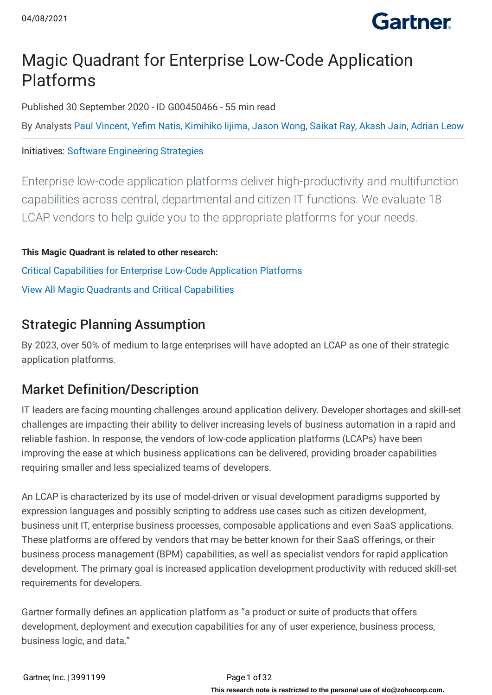

## Magic Quadrant for Enterprise Low-Code Application Platforms

Published 30 September 2020 - ID G00450466 - 55 min read

By Analysts Paul [Vincent,](https://www.gartner.com/analyst/55026) Yefim [Natis,](https://www.gartner.com/analyst/7256) [Kimihiko](https://www.gartner.com/analyst/12250) Iijima, Jason [Wong,](https://www.gartner.com/analyst/48330) [Saikat](https://www.gartner.com/analyst/88996) Ray, [Akash](https://www.gartner.com/analyst/94092) Jain, [Adrian](https://www.gartner.com/analyst/48089) Leow

## Initiatives: Software [Engineering](https://www.gartner.com/explore/initiatives/overview/44595) Strategies

Enterprise low-code application platforms deliver high-productivity and multifunction capabilities across central, departmental and citizen IT functions. We evaluate 18 LCAP vendors to help guide you to the appropriate platforms for your needs.

**This Magic Quadrant is related to other research:** Critical [Capabilities](https://www.gartner.com/document/3991223?ref=ddisp&refval=3991199) for Enterprise Low-Code Application Platforms View All Magic Quadrants and Critical [Capabilities](https://www.gartner.com/explore/magic-quadrant)

## Strategic Planning Assumption

By 2023, over 50% of medium to large enterprises will have adopted an LCAP as one of their strategic application platforms.

## Market Definition/Description

IT leaders are facing mounting challenges around application delivery. Developer shortages and skill-set challenges are impacting their ability to deliver increasing levels of business automation in a rapid and reliable fashion. In response, the vendors of low-code application platforms (LCAPs) have been improving the ease at which business applications can be delivered, providing broader capabilities requiring smaller and less specialized teams of developers.

An LCAP is characterized by its use of model-driven or visual development paradigms supported by expression languages and possibly scripting to address use cases such as citizen development, business unit IT, enterprise business processes, composable applications and even SaaS applications. These platforms are offered by vendors that may be better known for their SaaS offerings, or their business process management (BPM) capabilities, as well as specialist vendors for rapid application development. The primary goal is increased application development productivity with reduced skill-set requirements for developers.

Gartner formally defines an application platform as "a product or suite of products that offers development, deployment and execution capabilities for any of user experience, business process, business logic, and data."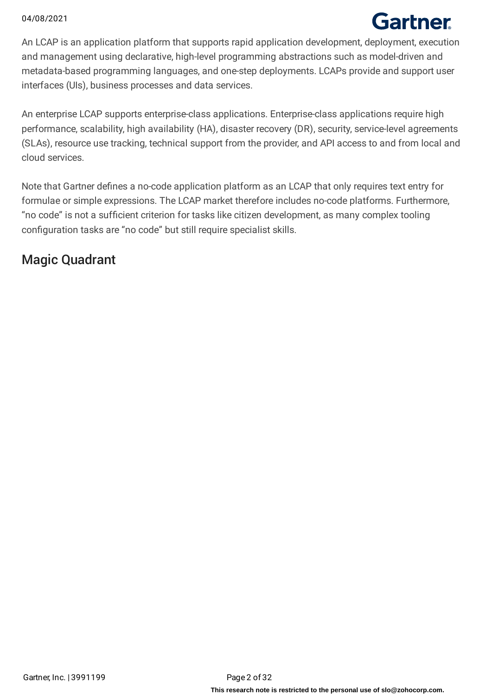# Gartner

An LCAP is an application platform that supports rapid application development, deployment, execution and management using declarative, high-level programming abstractions such as model-driven and metadata-based programming languages, and one-step deployments. LCAPs provide and support user interfaces (UIs), business processes and data services.

An enterprise LCAP supports enterprise-class applications. Enterprise-class applications require high performance, scalability, high availability (HA), disaster recovery (DR), security, service-level agreements (SLAs), resource use tracking, technical support from the provider, and API access to and from local and cloud services.

Note that Gartner defines a no-code application platform as an LCAP that only requires text entry for formulae or simple expressions. The LCAP market therefore includes no-code platforms. Furthermore, "no code" is not a sufficient criterion for tasks like citizen development, as many complex tooling configuration tasks are "no code" but still require specialist skills.

## Magic Quadrant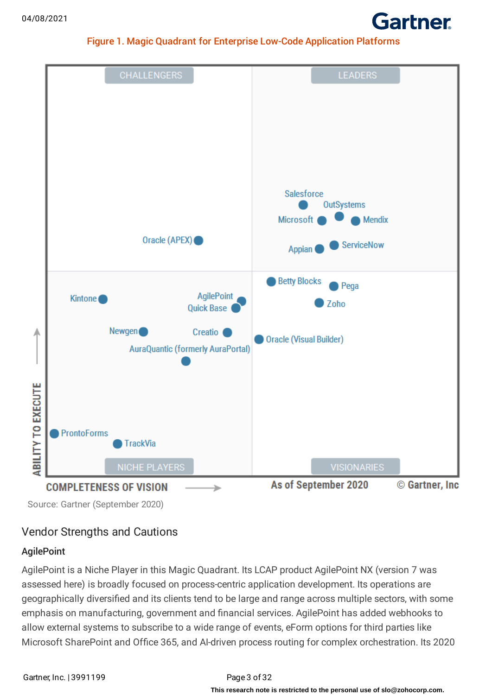

### Figure 1. Magic Quadrant for Enterprise Low-Code Application Platforms



Source: Gartner (September 2020)

## Vendor Strengths and Cautions

## **AgilePoint**

AgilePoint is a Niche Player in this Magic Quadrant. Its LCAP product AgilePoint NX (version 7 was assessed here) is broadly focused on process-centric application development. Its operations are geographically diversified and its clients tend to be large and range across multiple sectors, with some emphasis on manufacturing, government and financial services. AgilePoint has added webhooks to allow external systems to subscribe to a wide range of events, eForm options for third parties like Microsoft SharePoint and Office 365, and AI-driven process routing for complex orchestration. Its 2020

## **This research note is restricted to the personal use of slo@zohocorp.com.**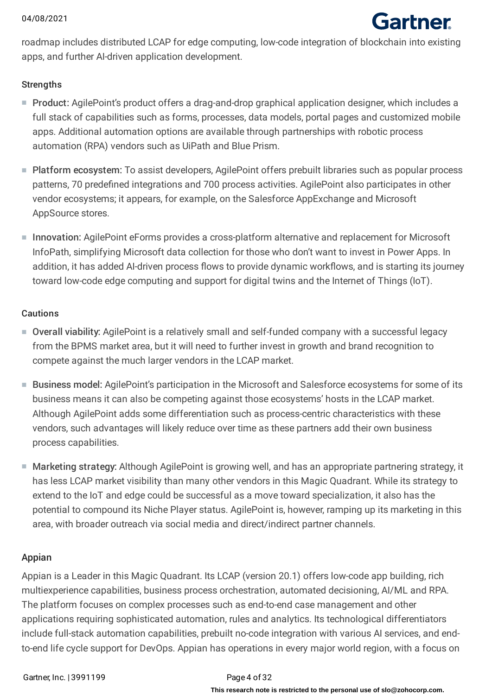

roadmap includes distributed LCAP for edge computing, low-code integration of blockchain into existing apps, and further AI-driven application development.

### **Strengths**

- Product: AgilePoint's product offers a drag-and-drop graphical application designer, which includes a full stack of capabilities such as forms, processes, data models, portal pages and customized mobile apps. Additional automation options are available through partnerships with robotic process automation (RPA) vendors such as UiPath and Blue Prism.
- Platform ecosystem: To assist developers, AgilePoint offers prebuilt libraries such as popular process patterns, 70 predefined integrations and 700 process activities. AgilePoint also participates in other vendor ecosystems; it appears, for example, on the Salesforce AppExchange and Microsoft AppSource stores.
- Innovation: AgilePoint eForms provides a cross-platform alternative and replacement for Microsoft InfoPath, simplifying Microsoft data collection for those who don't want to invest in Power Apps. In addition, it has added AI-driven process flows to provide dynamic workflows, and is starting its journey toward low-code edge computing and support for digital twins and the Internet of Things (IoT).

#### Cautions

- Overall viability: AgilePoint is a relatively small and self-funded company with a successful legacy from the BPMS market area, but it will need to further invest in growth and brand recognition to compete against the much larger vendors in the LCAP market.
- Business model: AgilePoint's participation in the Microsoft and Salesforce ecosystems for some of its business means it can also be competing against those ecosystems' hosts in the LCAP market. Although AgilePoint adds some differentiation such as process-centric characteristics with these vendors, such advantages will likely reduce over time as these partners add their own business process capabilities.
- Marketing strategy: Although AgilePoint is growing well, and has an appropriate partnering strategy, it has less LCAP market visibility than many other vendors in this Magic Quadrant. While its strategy to extend to the IoT and edge could be successful as a move toward specialization, it also has the potential to compound its Niche Player status. AgilePoint is, however, ramping up its marketing in this area, with broader outreach via social media and direct/indirect partner channels.

### Appian

Appian is a Leader in this Magic Quadrant. Its LCAP (version 20.1) offers low-code app building, rich multiexperience capabilities, business process orchestration, automated decisioning, AI/ML and RPA. The platform focuses on complex processes such as end-to-end case management and other applications requiring sophisticated automation, rules and analytics. Its technological differentiators include full-stack automation capabilities, prebuilt no-code integration with various AI services, and endto-end life cycle support for DevOps. Appian has operations in every major world region, with a focus on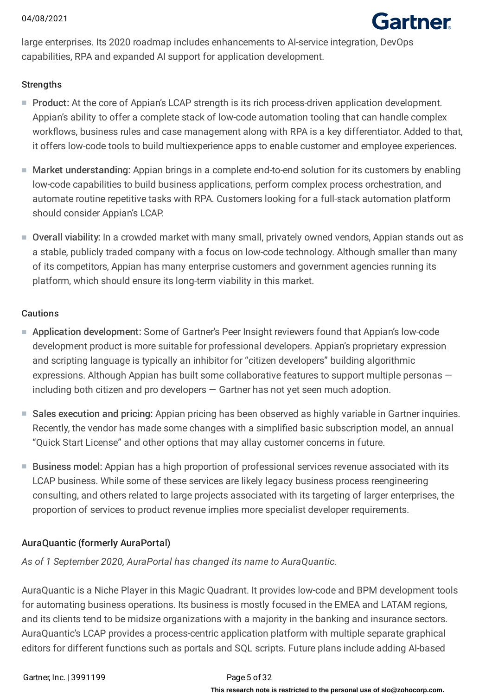

large enterprises. Its 2020 roadmap includes enhancements to AI-service integration, DevOps capabilities, RPA and expanded AI support for application development.

## **Strengths**

- Product: At the core of Appian's LCAP strength is its rich process-driven application development. Appian's ability to offer a complete stack of low-code automation tooling that can handle complex workflows, business rules and case management along with RPA is a key differentiator. Added to that, it offers low-code tools to build multiexperience apps to enable customer and employee experiences.
- Market understanding: Appian brings in a complete end-to-end solution for its customers by enabling low-code capabilities to build business applications, perform complex process orchestration, and automate routine repetitive tasks with RPA. Customers looking for a full-stack automation platform should consider Appian's LCAP.
- Overall viability: In a crowded market with many small, privately owned vendors, Appian stands out as a stable, publicly traded company with a focus on low-code technology. Although smaller than many of its competitors, Appian has many enterprise customers and government agencies running its platform, which should ensure its long-term viability in this market.

## Cautions

- Application development: Some of Gartner's Peer Insight reviewers found that Appian's low-code development product is more suitable for professional developers. Appian's proprietary expression and scripting language is typically an inhibitor for "citizen developers" building algorithmic expressions. Although Appian has built some collaborative features to support multiple personas including both citizen and pro developers — Gartner has not yet seen much adoption.
- Sales execution and pricing: Appian pricing has been observed as highly variable in Gartner inquiries. Recently, the vendor has made some changes with a simplified basic subscription model, an annual "Quick Start License" and other options that may allay customer concerns in future.
- Business model: Appian has a high proportion of professional services revenue associated with its LCAP business. While some of these services are likely legacy business process reengineering consulting, and others related to large projects associated with its targeting of larger enterprises, the proportion of services to product revenue implies more specialist developer requirements.

## AuraQuantic (formerly AuraPortal)

*As of 1 September 2020, AuraPortal has changed its name to AuraQuantic.*

AuraQuantic is a Niche Player in this Magic Quadrant. It provides low-code and BPM development tools for automating business operations. Its business is mostly focused in the EMEA and LATAM regions, and its clients tend to be midsize organizations with a majority in the banking and insurance sectors. AuraQuantic's LCAP provides a process-centric application platform with multiple separate graphical editors for different functions such as portals and SQL scripts. Future plans include adding AI-based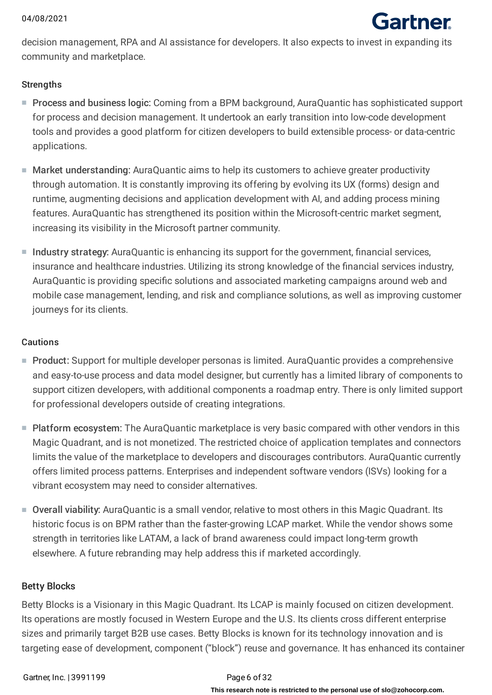

decision management, RPA and AI assistance for developers. It also expects to invest in expanding its community and marketplace.

## **Strengths**

- Process and business logic: Coming from a BPM background, AuraQuantic has sophisticated support for process and decision management. It undertook an early transition into low-code development tools and provides a good platform for citizen developers to build extensible process- or data-centric applications.
- Market understanding: AuraQuantic aims to help its customers to achieve greater productivity through automation. It is constantly improving its offering by evolving its UX (forms) design and runtime, augmenting decisions and application development with AI, and adding process mining features. AuraQuantic has strengthened its position within the Microsoft-centric market segment, increasing its visibility in the Microsoft partner community.
- Industry strategy: AuraQuantic is enhancing its support for the government, financial services, insurance and healthcare industries. Utilizing its strong knowledge of the financial services industry, AuraQuantic is providing specific solutions and associated marketing campaigns around web and mobile case management, lending, and risk and compliance solutions, as well as improving customer journeys for its clients.

## Cautions

- Product: Support for multiple developer personas is limited. AuraQuantic provides a comprehensive and easy-to-use process and data model designer, but currently has a limited library of components to support citizen developers, with additional components a roadmap entry. There is only limited support for professional developers outside of creating integrations.
- Platform ecosystem: The AuraQuantic marketplace is very basic compared with other vendors in this Magic Quadrant, and is not monetized. The restricted choice of application templates and connectors limits the value of the marketplace to developers and discourages contributors. AuraQuantic currently offers limited process patterns. Enterprises and independent software vendors (ISVs) looking for a vibrant ecosystem may need to consider alternatives.
- Overall viability: AuraQuantic is a small vendor, relative to most others in this Magic Quadrant. Its historic focus is on BPM rather than the faster-growing LCAP market. While the vendor shows some strength in territories like LATAM, a lack of brand awareness could impact long-term growth elsewhere. A future rebranding may help address this if marketed accordingly.

## Betty Blocks

Betty Blocks is a Visionary in this Magic Quadrant. Its LCAP is mainly focused on citizen development. Its operations are mostly focused in Western Europe and the U.S. Its clients cross different enterprise sizes and primarily target B2B use cases. Betty Blocks is known for its technology innovation and is targeting ease of development, component ("block") reuse and governance. It has enhanced its container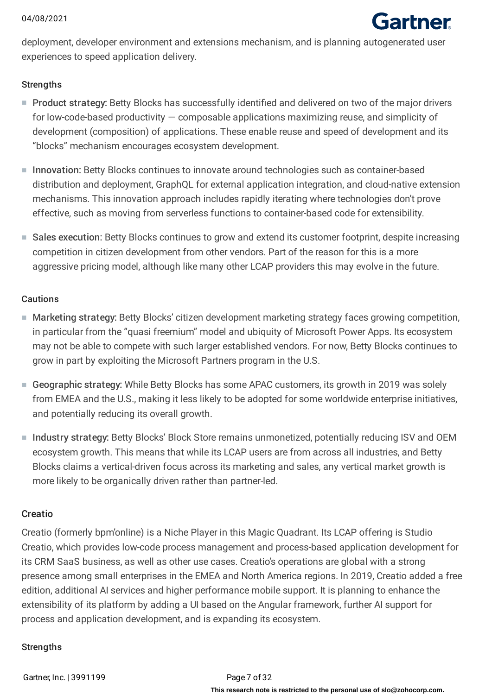

deployment, developer environment and extensions mechanism, and is planning autogenerated user experiences to speed application delivery.

### **Strengths**

- Product strategy: Betty Blocks has successfully identified and delivered on two of the major drivers for low-code-based productivity — composable applications maximizing reuse, and simplicity of development (composition) of applications. These enable reuse and speed of development and its "blocks" mechanism encourages ecosystem development.
- Innovation: Betty Blocks continues to innovate around technologies such as container-based distribution and deployment, GraphQL for external application integration, and cloud-native extension mechanisms. This innovation approach includes rapidly iterating where technologies don't prove effective, such as moving from serverless functions to container-based code for extensibility.
- Sales execution: Betty Blocks continues to grow and extend its customer footprint, despite increasing competition in citizen development from other vendors. Part of the reason for this is a more aggressive pricing model, although like many other LCAP providers this may evolve in the future.

#### Cautions

- Marketing strategy: Betty Blocks' citizen development marketing strategy faces growing competition, in particular from the "quasi freemium" model and ubiquity of Microsoft Power Apps. Its ecosystem may not be able to compete with such larger established vendors. For now, Betty Blocks continues to grow in part by exploiting the Microsoft Partners program in the U.S.
- Geographic strategy: While Betty Blocks has some APAC customers, its growth in 2019 was solely from EMEA and the U.S., making it less likely to be adopted for some worldwide enterprise initiatives, and potentially reducing its overall growth.
- Industry strategy: Betty Blocks' Block Store remains unmonetized, potentially reducing ISV and OEM ecosystem growth. This means that while its LCAP users are from across all industries, and Betty Blocks claims a vertical-driven focus across its marketing and sales, any vertical market growth is more likely to be organically driven rather than partner-led.

### Creatio

Creatio (formerly bpm'online) is a Niche Player in this Magic Quadrant. Its LCAP offering is Studio Creatio, which provides low-code process management and process-based application development for its CRM SaaS business, as well as other use cases. Creatio's operations are global with a strong presence among small enterprises in the EMEA and North America regions. In 2019, Creatio added a free edition, additional AI services and higher performance mobile support. It is planning to enhance the extensibility of its platform by adding a UI based on the Angular framework, further AI support for process and application development, and is expanding its ecosystem.

### **Strengths**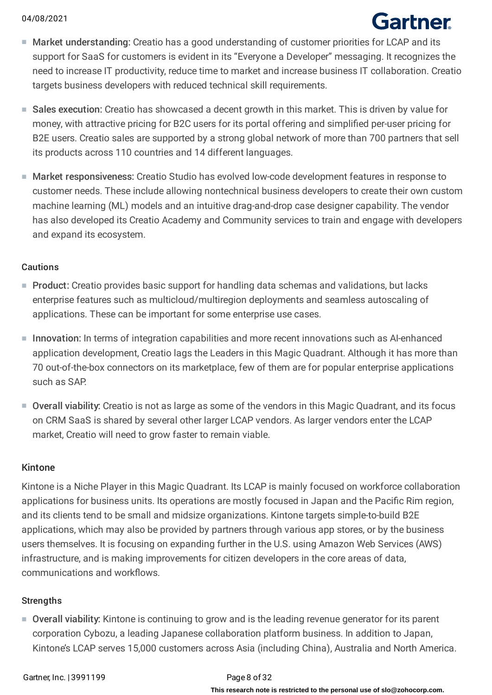# Gartner

- Market understanding: Creatio has a good understanding of customer priorities for LCAP and its support for SaaS for customers is evident in its "Everyone a Developer" messaging. It recognizes the need to increase IT productivity, reduce time to market and increase business IT collaboration. Creatio targets business developers with reduced technical skill requirements.
- Sales execution: Creatio has showcased a decent growth in this market. This is driven by value for money, with attractive pricing for B2C users for its portal offering and simplified per-user pricing for B2E users. Creatio sales are supported by a strong global network of more than 700 partners that sell its products across 110 countries and 14 different languages.
- Market responsiveness: Creatio Studio has evolved low-code development features in response to customer needs. These include allowing nontechnical business developers to create their own custom machine learning (ML) models and an intuitive drag-and-drop case designer capability. The vendor has also developed its Creatio Academy and Community services to train and engage with developers and expand its ecosystem.

## Cautions

- Product: Creatio provides basic support for handling data schemas and validations, but lacks enterprise features such as multicloud/multiregion deployments and seamless autoscaling of applications. These can be important for some enterprise use cases.
- Innovation: In terms of integration capabilities and more recent innovations such as AI-enhanced application development, Creatio lags the Leaders in this Magic Quadrant. Although it has more than 70 out-of-the-box connectors on its marketplace, few of them are for popular enterprise applications such as SAP.
- Overall viability: Creatio is not as large as some of the vendors in this Magic Quadrant, and its focus on CRM SaaS is shared by several other larger LCAP vendors. As larger vendors enter the LCAP market, Creatio will need to grow faster to remain viable.

### Kintone

Kintone is a Niche Player in this Magic Quadrant. Its LCAP is mainly focused on workforce collaboration applications for business units. Its operations are mostly focused in Japan and the Pacific Rim region, and its clients tend to be small and midsize organizations. Kintone targets simple-to-build B2E applications, which may also be provided by partners through various app stores, or by the business users themselves. It is focusing on expanding further in the U.S. using Amazon Web Services (AWS) infrastructure, and is making improvements for citizen developers in the core areas of data, communications and workflows.

## **Strengths**

■ Overall viability: Kintone is continuing to grow and is the leading revenue generator for its parent corporation Cybozu, a leading Japanese collaboration platform business. In addition to Japan, Kintone's LCAP serves 15,000 customers across Asia (including China), Australia and North America.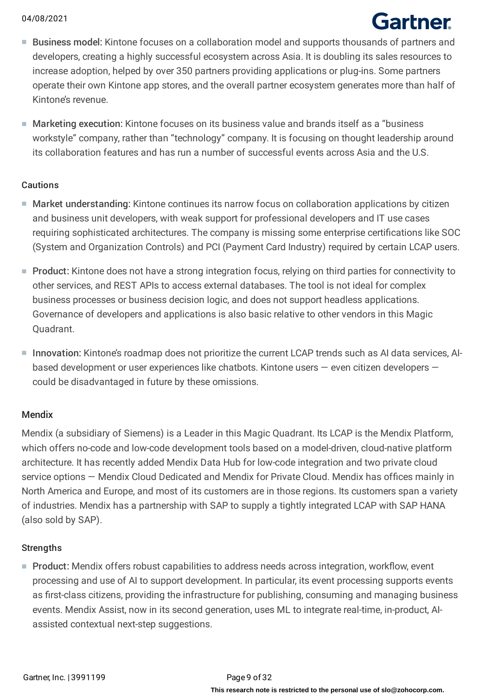# Gartner

- Business model: Kintone focuses on a collaboration model and supports thousands of partners and developers, creating a highly successful ecosystem across Asia. It is doubling its sales resources to increase adoption, helped by over 350 partners providing applications or plug-ins. Some partners operate their own Kintone app stores, and the overall partner ecosystem generates more than half of Kintone's revenue.
- Marketing execution: Kintone focuses on its business value and brands itself as a "business workstyle" company, rather than "technology" company. It is focusing on thought leadership around its collaboration features and has run a number of successful events across Asia and the U.S.

### Cautions

- Market understanding: Kintone continues its narrow focus on collaboration applications by citizen and business unit developers, with weak support for professional developers and IT use cases requiring sophisticated architectures. The company is missing some enterprise certifications like SOC (System and Organization Controls) and PCI (Payment Card Industry) required by certain LCAP users.
- Product: Kintone does not have a strong integration focus, relying on third parties for connectivity to other services, and REST APIs to access external databases. The tool is not ideal for complex business processes or business decision logic, and does not support headless applications. Governance of developers and applications is also basic relative to other vendors in this Magic Quadrant.
- $\blacksquare$  Innovation: Kintone's roadmap does not prioritize the current LCAP trends such as AI data services, AIbased development or user experiences like chatbots. Kintone users — even citizen developers could be disadvantaged in future by these omissions.

## Mendix

Mendix (a subsidiary of Siemens) is a Leader in this Magic Quadrant. Its LCAP is the Mendix Platform, which offers no-code and low-code development tools based on a model-driven, cloud-native platform architecture. It has recently added Mendix Data Hub for low-code integration and two private cloud service options — Mendix Cloud Dedicated and Mendix for Private Cloud. Mendix has offices mainly in North America and Europe, and most of its customers are in those regions. Its customers span a variety of industries. Mendix has a partnership with SAP to supply a tightly integrated LCAP with SAP HANA (also sold by SAP).

### **Strengths**

■ Product: Mendix offers robust capabilities to address needs across integration, workflow, event processing and use of AI to support development. In particular, its event processing supports events as first-class citizens, providing the infrastructure for publishing, consuming and managing business events. Mendix Assist, now in its second generation, uses ML to integrate real-time, in-product, AIassisted contextual next-step suggestions.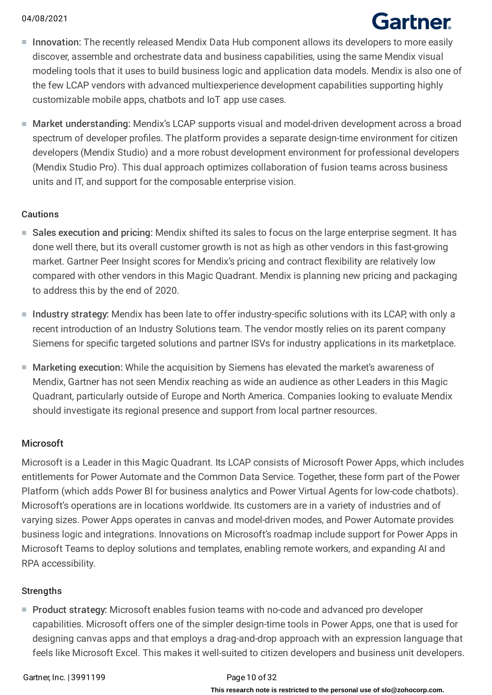# **Gartner**

- Innovation: The recently released Mendix Data Hub component allows its developers to more easily discover, assemble and orchestrate data and business capabilities, using the same Mendix visual modeling tools that it uses to build business logic and application data models. Mendix is also one of the few LCAP vendors with advanced multiexperience development capabilities supporting highly customizable mobile apps, chatbots and IoT app use cases.
- Market understanding: Mendix's LCAP supports visual and model-driven development across a broad spectrum of developer profiles. The platform provides a separate design-time environment for citizen developers (Mendix Studio) and a more robust development environment for professional developers (Mendix Studio Pro). This dual approach optimizes collaboration of fusion teams across business units and IT, and support for the composable enterprise vision.

## Cautions

- Sales execution and pricing: Mendix shifted its sales to focus on the large enterprise segment. It has done well there, but its overall customer growth is not as high as other vendors in this fast-growing market. Gartner Peer Insight scores for Mendix's pricing and contract flexibility are relatively low compared with other vendors in this Magic Quadrant. Mendix is planning new pricing and packaging to address this by the end of 2020.
- Industry strategy: Mendix has been late to offer industry-specific solutions with its LCAP, with only a recent introduction of an Industry Solutions team. The vendor mostly relies on its parent company Siemens for specific targeted solutions and partner ISVs for industry applications in its marketplace.
- Marketing execution: While the acquisition by Siemens has elevated the market's awareness of Mendix, Gartner has not seen Mendix reaching as wide an audience as other Leaders in this Magic Quadrant, particularly outside of Europe and North America. Companies looking to evaluate Mendix should investigate its regional presence and support from local partner resources.

## Microsoft

Microsoft is a Leader in this Magic Quadrant. Its LCAP consists of Microsoft Power Apps, which includes entitlements for Power Automate and the Common Data Service. Together, these form part of the Power Platform (which adds Power BI for business analytics and Power Virtual Agents for low-code chatbots). Microsoft's operations are in locations worldwide. Its customers are in a variety of industries and of varying sizes. Power Apps operates in canvas and model-driven modes, and Power Automate provides business logic and integrations. Innovations on Microsoft's roadmap include support for Power Apps in Microsoft Teams to deploy solutions and templates, enabling remote workers, and expanding AI and RPA accessibility.

## **Strengths**

■ Product strategy: Microsoft enables fusion teams with no-code and advanced pro developer capabilities. Microsoft offers one of the simpler design-time tools in Power Apps, one that is used for designing canvas apps and that employs a drag-and-drop approach with an expression language that feels like Microsoft Excel. This makes it well-suited to citizen developers and business unit developers.

## **This research note is restricted to the personal use of slo@zohocorp.com.**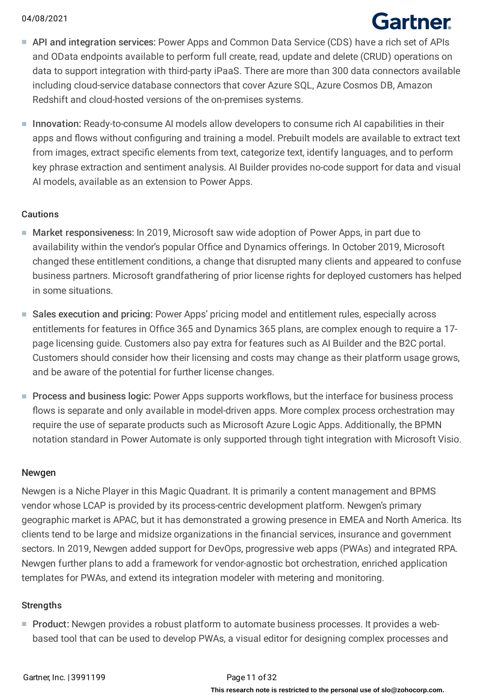# Gartner

- API and integration services: Power Apps and Common Data Service (CDS) have a rich set of APIs and OData endpoints available to perform full create, read, update and delete (CRUD) operations on data to support integration with third-party iPaaS. There are more than 300 data connectors available including cloud-service database connectors that cover Azure SQL, Azure Cosmos DB, Amazon Redshift and cloud-hosted versions of the on-premises systems.
- $\blacksquare$  Innovation: Ready-to-consume AI models allow developers to consume rich AI capabilities in their apps and flows without configuring and training a model. Prebuilt models are available to extract text from images, extract specific elements from text, categorize text, identify languages, and to perform key phrase extraction and sentiment analysis. AI Builder provides no-code support for data and visual AI models, available as an extension to Power Apps.

#### Cautions

- Market responsiveness: In 2019, Microsoft saw wide adoption of Power Apps, in part due to availability within the vendor's popular Office and Dynamics offerings. In October 2019, Microsoft changed these entitlement conditions, a change that disrupted many clients and appeared to confuse business partners. Microsoft grandfathering of prior license rights for deployed customers has helped in some situations.
- Sales execution and pricing: Power Apps' pricing model and entitlement rules, especially across entitlements for features in Office 365 and Dynamics 365 plans, are complex enough to require a 17 page licensing guide. Customers also pay extra for features such as AI Builder and the B2C portal. Customers should consider how their licensing and costs may change as their platform usage grows, and be aware of the potential for further license changes.
- Process and business logic: Power Apps supports workflows, but the interface for business process flows is separate and only available in model-driven apps. More complex process orchestration may require the use of separate products such as Microsoft Azure Logic Apps. Additionally, the BPMN notation standard in Power Automate is only supported through tight integration with Microsoft Visio.

### Newgen

Newgen is a Niche Player in this Magic Quadrant. It is primarily a content management and BPMS vendor whose LCAP is provided by its process-centric development platform. Newgen's primary geographic market is APAC, but it has demonstrated a growing presence in EMEA and North America. Its clients tend to be large and midsize organizations in the financial services, insurance and government sectors. In 2019, Newgen added support for DevOps, progressive web apps (PWAs) and integrated RPA. Newgen further plans to add a framework for vendor-agnostic bot orchestration, enriched application templates for PWAs, and extend its integration modeler with metering and monitoring.

#### **Strengths**

■ Product: Newgen provides a robust platform to automate business processes. It provides a webbased tool that can be used to develop PWAs, a visual editor for designing complex processes and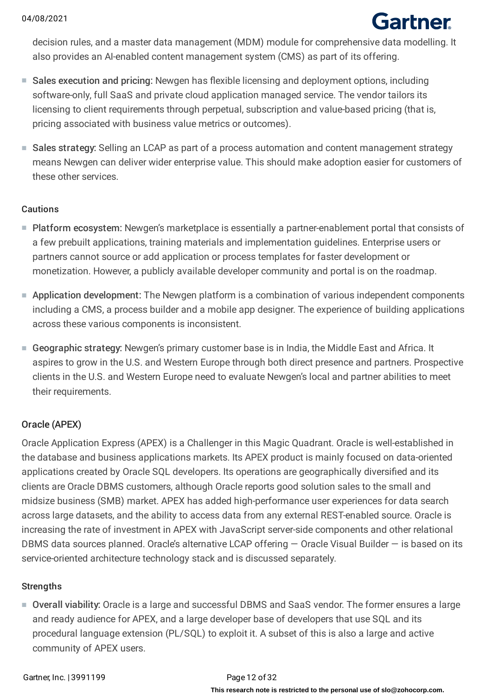# Gartner

decision rules, and a master data management (MDM) module for comprehensive data modelling. It also provides an AI-enabled content management system (CMS) as part of its offering.

- Sales execution and pricing: Newgen has flexible licensing and deployment options, including software-only, full SaaS and private cloud application managed service. The vendor tailors its licensing to client requirements through perpetual, subscription and value-based pricing (that is, pricing associated with business value metrics or outcomes).
- Sales strategy: Selling an LCAP as part of a process automation and content management strategy means Newgen can deliver wider enterprise value. This should make adoption easier for customers of these other services.

## **Cautions**

- Platform ecosystem: Newgen's marketplace is essentially a partner-enablement portal that consists of a few prebuilt applications, training materials and implementation guidelines. Enterprise users or partners cannot source or add application or process templates for faster development or monetization. However, a publicly available developer community and portal is on the roadmap.
- Application development: The Newgen platform is a combination of various independent components including a CMS, a process builder and a mobile app designer. The experience of building applications across these various components is inconsistent.
- Geographic strategy: Newgen's primary customer base is in India, the Middle East and Africa. It aspires to grow in the U.S. and Western Europe through both direct presence and partners. Prospective clients in the U.S. and Western Europe need to evaluate Newgen's local and partner abilities to meet their requirements.

## Oracle (APEX)

Oracle Application Express (APEX) is a Challenger in this Magic Quadrant. Oracle is well-established in the database and business applications markets. Its APEX product is mainly focused on data-oriented applications created by Oracle SQL developers. Its operations are geographically diversified and its clients are Oracle DBMS customers, although Oracle reports good solution sales to the small and midsize business (SMB) market. APEX has added high-performance user experiences for data search across large datasets, and the ability to access data from any external REST-enabled source. Oracle is increasing the rate of investment in APEX with JavaScript server-side components and other relational DBMS data sources planned. Oracle's alternative LCAP offering — Oracle Visual Builder — is based on its service-oriented architecture technology stack and is discussed separately.

## **Strengths**

■ Overall viability: Oracle is a large and successful DBMS and SaaS vendor. The former ensures a large and ready audience for APEX, and a large developer base of developers that use SQL and its procedural language extension (PL/SQL) to exploit it. A subset of this is also a large and active community of APEX users.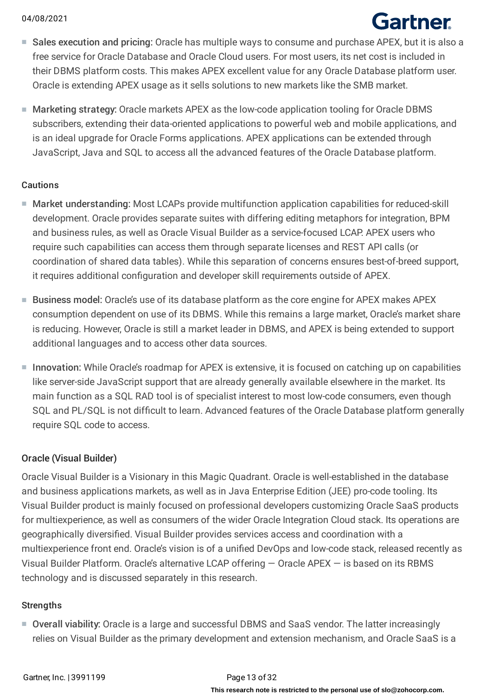# Gartner

- Sales execution and pricing: Oracle has multiple ways to consume and purchase APEX, but it is also a free service for Oracle Database and Oracle Cloud users. For most users, its net cost is included in their DBMS platform costs. This makes APEX excellent value for any Oracle Database platform user. Oracle is extending APEX usage as it sells solutions to new markets like the SMB market.
- Marketing strategy: Oracle markets APEX as the low-code application tooling for Oracle DBMS subscribers, extending their data-oriented applications to powerful web and mobile applications, and is an ideal upgrade for Oracle Forms applications. APEX applications can be extended through JavaScript, Java and SQL to access all the advanced features of the Oracle Database platform.

### Cautions

- Market understanding: Most LCAPs provide multifunction application capabilities for reduced-skill development. Oracle provides separate suites with differing editing metaphors for integration, BPM and business rules, as well as Oracle Visual Builder as a service-focused LCAP. APEX users who require such capabilities can access them through separate licenses and REST API calls (or coordination of shared data tables). While this separation of concerns ensures best-of-breed support, it requires additional configuration and developer skill requirements outside of APEX.
- Business model: Oracle's use of its database platform as the core engine for APEX makes APEX consumption dependent on use of its DBMS. While this remains a large market, Oracle's market share is reducing. However, Oracle is still a market leader in DBMS, and APEX is being extended to support additional languages and to access other data sources.
- Innovation: While Oracle's roadmap for APEX is extensive, it is focused on catching up on capabilities like server-side JavaScript support that are already generally available elsewhere in the market. Its main function as a SQL RAD tool is of specialist interest to most low-code consumers, even though SQL and PL/SQL is not difficult to learn. Advanced features of the Oracle Database platform generally require SQL code to access.

### Oracle (Visual Builder)

Oracle Visual Builder is a Visionary in this Magic Quadrant. Oracle is well-established in the database and business applications markets, as well as in Java Enterprise Edition (JEE) pro-code tooling. Its Visual Builder product is mainly focused on professional developers customizing Oracle SaaS products for multiexperience, as well as consumers of the wider Oracle Integration Cloud stack. Its operations are geographically diversified. Visual Builder provides services access and coordination with a multiexperience front end. Oracle's vision is of a unified DevOps and low-code stack, released recently as Visual Builder Platform. Oracle's alternative LCAP offering — Oracle APEX — is based on its RBMS technology and is discussed separately in this research.

### **Strengths**

■ Overall viability: Oracle is a large and successful DBMS and SaaS vendor. The latter increasingly relies on Visual Builder as the primary development and extension mechanism, and Oracle SaaS is a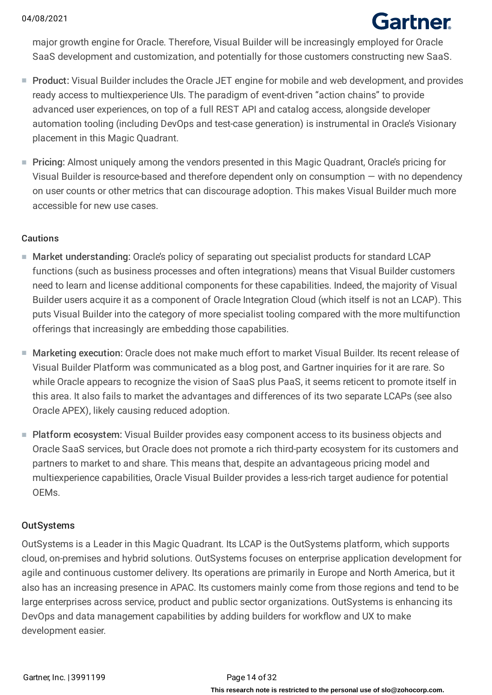# Gartner

major growth engine for Oracle. Therefore, Visual Builder will be increasingly employed for Oracle SaaS development and customization, and potentially for those customers constructing new SaaS.

- Product: Visual Builder includes the Oracle JET engine for mobile and web development, and provides ready access to multiexperience UIs. The paradigm of event-driven "action chains" to provide advanced user experiences, on top of a full REST API and catalog access, alongside developer automation tooling (including DevOps and test-case generation) is instrumental in Oracle's Visionary placement in this Magic Quadrant.
- Pricing: Almost uniquely among the vendors presented in this Magic Quadrant, Oracle's pricing for Visual Builder is resource-based and therefore dependent only on consumption — with no dependency on user counts or other metrics that can discourage adoption. This makes Visual Builder much more accessible for new use cases.

## Cautions

- Market understanding: Oracle's policy of separating out specialist products for standard LCAP functions (such as business processes and often integrations) means that Visual Builder customers need to learn and license additional components for these capabilities. Indeed, the majority of Visual Builder users acquire it as a component of Oracle Integration Cloud (which itself is not an LCAP). This puts Visual Builder into the category of more specialist tooling compared with the more multifunction offerings that increasingly are embedding those capabilities.
- Marketing execution: Oracle does not make much effort to market Visual Builder. Its recent release of Visual Builder Platform was communicated as a blog post, and Gartner inquiries for it are rare. So while Oracle appears to recognize the vision of SaaS plus PaaS, it seems reticent to promote itself in this area. It also fails to market the advantages and differences of its two separate LCAPs (see also Oracle APEX), likely causing reduced adoption.
- Platform ecosystem: Visual Builder provides easy component access to its business objects and Oracle SaaS services, but Oracle does not promote a rich third-party ecosystem for its customers and partners to market to and share. This means that, despite an advantageous pricing model and multiexperience capabilities, Oracle Visual Builder provides a less-rich target audience for potential OEMs.

## **OutSystems**

OutSystems is a Leader in this Magic Quadrant. Its LCAP is the OutSystems platform, which supports cloud, on-premises and hybrid solutions. OutSystems focuses on enterprise application development for agile and continuous customer delivery. Its operations are primarily in Europe and North America, but it also has an increasing presence in APAC. Its customers mainly come from those regions and tend to be large enterprises across service, product and public sector organizations. OutSystems is enhancing its DevOps and data management capabilities by adding builders for workflow and UX to make development easier.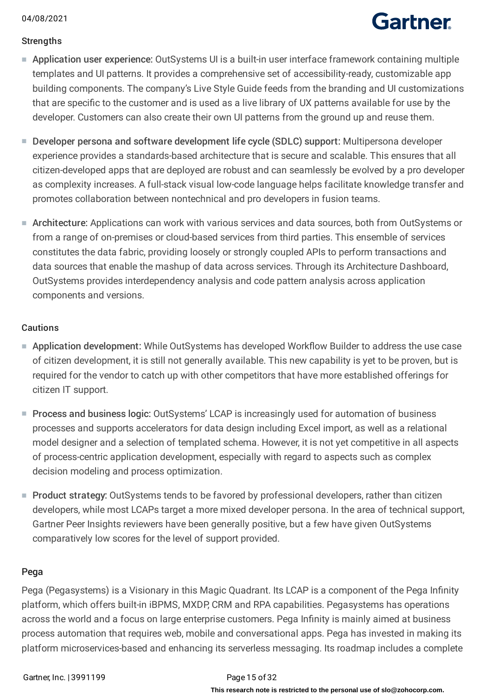# **Gartner**

## **Strengths**

- Application user experience: OutSystems UI is a built-in user interface framework containing multiple templates and UI patterns. It provides a comprehensive set of accessibility-ready, customizable app building components. The company's Live Style Guide feeds from the branding and UI customizations that are specific to the customer and is used as a live library of UX patterns available for use by the developer. Customers can also create their own UI patterns from the ground up and reuse them.
- Developer persona and software development life cycle (SDLC) support: Multipersona developer experience provides a standards-based architecture that is secure and scalable. This ensures that all citizen-developed apps that are deployed are robust and can seamlessly be evolved by a pro developer as complexity increases. A full-stack visual low-code language helps facilitate knowledge transfer and promotes collaboration between nontechnical and pro developers in fusion teams.
- Architecture: Applications can work with various services and data sources, both from OutSystems or from a range of on-premises or cloud-based services from third parties. This ensemble of services constitutes the data fabric, providing loosely or strongly coupled APIs to perform transactions and data sources that enable the mashup of data across services. Through its Architecture Dashboard, OutSystems provides interdependency analysis and code pattern analysis across application components and versions.

## Cautions

- Application development: While OutSystems has developed Workflow Builder to address the use case of citizen development, it is still not generally available. This new capability is yet to be proven, but is required for the vendor to catch up with other competitors that have more established offerings for citizen IT support.
- Process and business logic: OutSystems' LCAP is increasingly used for automation of business processes and supports accelerators for data design including Excel import, as well as a relational model designer and a selection of templated schema. However, it is not yet competitive in all aspects of process-centric application development, especially with regard to aspects such as complex decision modeling and process optimization.
- Product strategy: OutSystems tends to be favored by professional developers, rather than citizen developers, while most LCAPs target a more mixed developer persona. In the area of technical support, Gartner Peer Insights reviewers have been generally positive, but a few have given OutSystems comparatively low scores for the level of support provided.

## Pega

Pega (Pegasystems) is a Visionary in this Magic Quadrant. Its LCAP is a component of the Pega Infinity platform, which offers built-in iBPMS, MXDP, CRM and RPA capabilities. Pegasystems has operations across the world and a focus on large enterprise customers. Pega Infinity is mainly aimed at business process automation that requires web, mobile and conversational apps. Pega has invested in making its platform microservices-based and enhancing its serverless messaging. Its roadmap includes a complete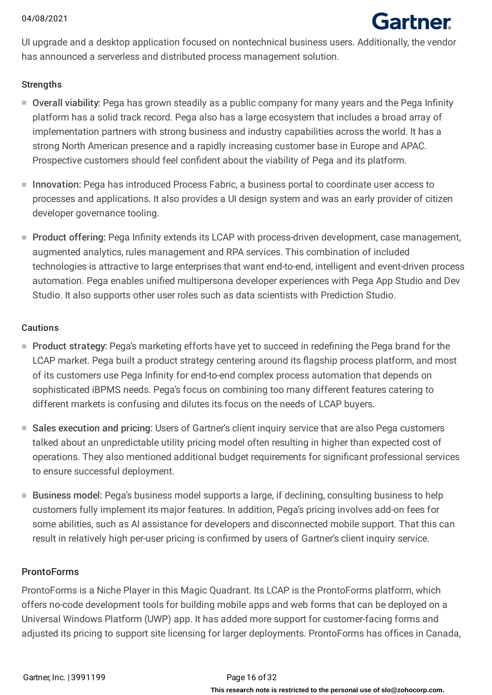

UI upgrade and a desktop application focused on nontechnical business users. Additionally, the vendor has announced a serverless and distributed process management solution.

#### **Strengths**

- Overall viability: Pega has grown steadily as a public company for many years and the Pega Infinity platform has a solid track record. Pega also has a large ecosystem that includes a broad array of implementation partners with strong business and industry capabilities across the world. It has a strong North American presence and a rapidly increasing customer base in Europe and APAC. Prospective customers should feel confident about the viability of Pega and its platform.
- Innovation: Pega has introduced Process Fabric, a business portal to coordinate user access to processes and applications. It also provides a UI design system and was an early provider of citizen developer governance tooling.
- Product offering: Pega Infinity extends its LCAP with process-driven development, case management, augmented analytics, rules management and RPA services. This combination of included technologies is attractive to large enterprises that want end-to-end, intelligent and event-driven process automation. Pega enables unified multipersona developer experiences with Pega App Studio and Dev Studio. It also supports other user roles such as data scientists with Prediction Studio.

#### Cautions

- Product strategy: Pega's marketing efforts have yet to succeed in redefining the Pega brand for the LCAP market. Pega built a product strategy centering around its flagship process platform, and most of its customers use Pega Infinity for end-to-end complex process automation that depends on sophisticated iBPMS needs. Pega's focus on combining too many different features catering to different markets is confusing and dilutes its focus on the needs of LCAP buyers.
- Sales execution and pricing: Users of Gartner's client inquiry service that are also Pega customers talked about an unpredictable utility pricing model often resulting in higher than expected cost of operations. They also mentioned additional budget requirements for significant professional services to ensure successful deployment.
- Business model: Pega's business model supports a large, if declining, consulting business to help customers fully implement its major features. In addition, Pega's pricing involves add-on fees for some abilities, such as AI assistance for developers and disconnected mobile support. That this can result in relatively high per-user pricing is confirmed by users of Gartner's client inquiry service.

### **ProntoForms**

ProntoForms is a Niche Player in this Magic Quadrant. Its LCAP is the ProntoForms platform, which offers no-code development tools for building mobile apps and web forms that can be deployed on a Universal Windows Platform (UWP) app. It has added more support for customer-facing forms and adjusted its pricing to support site licensing for larger deployments. ProntoForms has offices in Canada,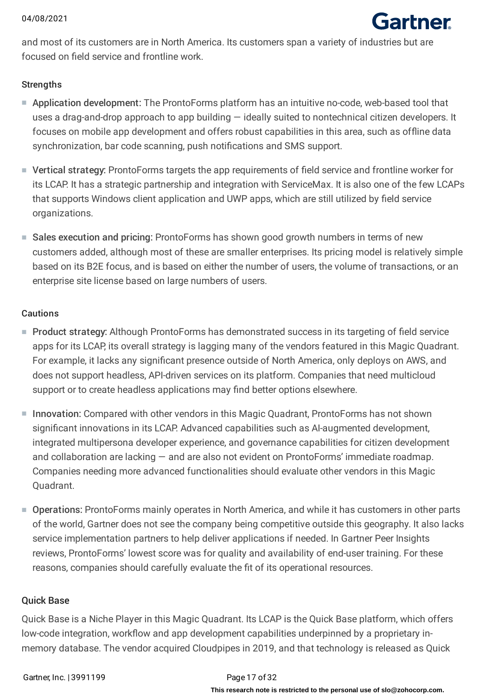

and most of its customers are in North America. Its customers span a variety of industries but are focused on field service and frontline work.

#### **Strengths**

- Application development: The ProntoForms platform has an intuitive no-code, web-based tool that uses a drag-and-drop approach to app building — ideally suited to nontechnical citizen developers. It focuses on mobile app development and offers robust capabilities in this area, such as offline data synchronization, bar code scanning, push notifications and SMS support.
- Vertical strategy: ProntoForms targets the app requirements of field service and frontline worker for its LCAP. It has a strategic partnership and integration with ServiceMax. It is also one of the few LCAPs that supports Windows client application and UWP apps, which are still utilized by field service organizations.
- Sales execution and pricing: ProntoForms has shown good growth numbers in terms of new customers added, although most of these are smaller enterprises. Its pricing model is relatively simple based on its B2E focus, and is based on either the number of users, the volume of transactions, or an enterprise site license based on large numbers of users.

#### Cautions

- Product strategy: Although ProntoForms has demonstrated success in its targeting of field service apps for its LCAP, its overall strategy is lagging many of the vendors featured in this Magic Quadrant. For example, it lacks any significant presence outside of North America, only deploys on AWS, and does not support headless, API-driven services on its platform. Companies that need multicloud support or to create headless applications may find better options elsewhere.
- Innovation: Compared with other vendors in this Magic Quadrant, ProntoForms has not shown significant innovations in its LCAP. Advanced capabilities such as AI-augmented development, integrated multipersona developer experience, and governance capabilities for citizen development and collaboration are lacking — and are also not evident on ProntoForms' immediate roadmap. Companies needing more advanced functionalities should evaluate other vendors in this Magic Quadrant.
- Operations: ProntoForms mainly operates in North America, and while it has customers in other parts of the world, Gartner does not see the company being competitive outside this geography. It also lacks service implementation partners to help deliver applications if needed. In Gartner Peer Insights reviews, ProntoForms' lowest score was for quality and availability of end-user training. For these reasons, companies should carefully evaluate the fit of its operational resources.

### Quick Base

Quick Base is a Niche Player in this Magic Quadrant. Its LCAP is the Quick Base platform, which offers low-code integration, workflow and app development capabilities underpinned by a proprietary inmemory database. The vendor acquired Cloudpipes in 2019, and that technology is released as Quick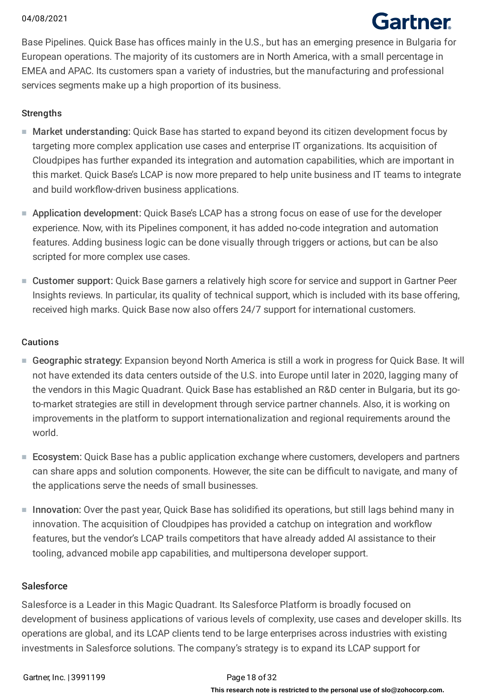# Gartner

Base Pipelines. Quick Base has offices mainly in the U.S., but has an emerging presence in Bulgaria for European operations. The majority of its customers are in North America, with a small percentage in EMEA and APAC. Its customers span a variety of industries, but the manufacturing and professional services segments make up a high proportion of its business.

## **Strengths**

- Market understanding: Quick Base has started to expand beyond its citizen development focus by targeting more complex application use cases and enterprise IT organizations. Its acquisition of Cloudpipes has further expanded its integration and automation capabilities, which are important in this market. Quick Base's LCAP is now more prepared to help unite business and IT teams to integrate and build workflow-driven business applications.
- Application development: Quick Base's LCAP has a strong focus on ease of use for the developer experience. Now, with its Pipelines component, it has added no-code integration and automation features. Adding business logic can be done visually through triggers or actions, but can be also scripted for more complex use cases.
- Customer support: Quick Base garners a relatively high score for service and support in Gartner Peer Insights reviews. In particular, its quality of technical support, which is included with its base offering, received high marks. Quick Base now also offers 24/7 support for international customers.

## Cautions

- Geographic strategy: Expansion beyond North America is still a work in progress for Quick Base. It will not have extended its data centers outside of the U.S. into Europe until later in 2020, lagging many of the vendors in this Magic Quadrant. Quick Base has established an R&D center in Bulgaria, but its goto-market strategies are still in development through service partner channels. Also, it is working on improvements in the platform to support internationalization and regional requirements around the world.
- Ecosystem: Quick Base has a public application exchange where customers, developers and partners can share apps and solution components. However, the site can be difficult to navigate, and many of the applications serve the needs of small businesses.
- Innovation: Over the past year, Quick Base has solidified its operations, but still lags behind many in innovation. The acquisition of Cloudpipes has provided a catchup on integration and workflow features, but the vendor's LCAP trails competitors that have already added AI assistance to their tooling, advanced mobile app capabilities, and multipersona developer support.

## **Salesforce**

Salesforce is a Leader in this Magic Quadrant. Its Salesforce Platform is broadly focused on development of business applications of various levels of complexity, use cases and developer skills. Its operations are global, and its LCAP clients tend to be large enterprises across industries with existing investments in Salesforce solutions. The company's strategy is to expand its LCAP support for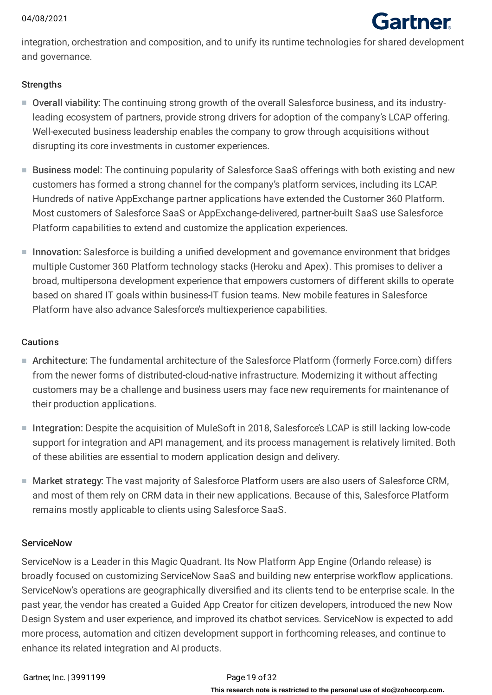# Gartner

integration, orchestration and composition, and to unify its runtime technologies for shared development and governance.

## **Strengths**

- Overall viability: The continuing strong growth of the overall Salesforce business, and its industry-■ leading ecosystem of partners, provide strong drivers for adoption of the company's LCAP offering. Well-executed business leadership enables the company to grow through acquisitions without disrupting its core investments in customer experiences.
- Business model: The continuing popularity of Salesforce SaaS offerings with both existing and new customers has formed a strong channel for the company's platform services, including its LCAP. Hundreds of native AppExchange partner applications have extended the Customer 360 Platform. Most customers of Salesforce SaaS or AppExchange-delivered, partner-built SaaS use Salesforce Platform capabilities to extend and customize the application experiences.
- Innovation: Salesforce is building a unified development and governance environment that bridges multiple Customer 360 Platform technology stacks (Heroku and Apex). This promises to deliver a broad, multipersona development experience that empowers customers of different skills to operate based on shared IT goals within business-IT fusion teams. New mobile features in Salesforce Platform have also advance Salesforce's multiexperience capabilities.

## Cautions

- Architecture: The fundamental architecture of the Salesforce Platform (formerly Force.com) differs from the newer forms of distributed-cloud-native infrastructure. Modernizing it without affecting customers may be a challenge and business users may face new requirements for maintenance of their production applications.
- Integration: Despite the acquisition of MuleSoft in 2018, Salesforce's LCAP is still lacking low-code support for integration and API management, and its process management is relatively limited. Both of these abilities are essential to modern application design and delivery.
- Market strategy: The vast majority of Salesforce Platform users are also users of Salesforce CRM, and most of them rely on CRM data in their new applications. Because of this, Salesforce Platform remains mostly applicable to clients using Salesforce SaaS.

### **ServiceNow**

ServiceNow is a Leader in this Magic Quadrant. Its Now Platform App Engine (Orlando release) is broadly focused on customizing ServiceNow SaaS and building new enterprise workflow applications. ServiceNow's operations are geographically diversified and its clients tend to be enterprise scale. In the past year, the vendor has created a Guided App Creator for citizen developers, introduced the new Now Design System and user experience, and improved its chatbot services. ServiceNow is expected to add more process, automation and citizen development support in forthcoming releases, and continue to enhance its related integration and AI products.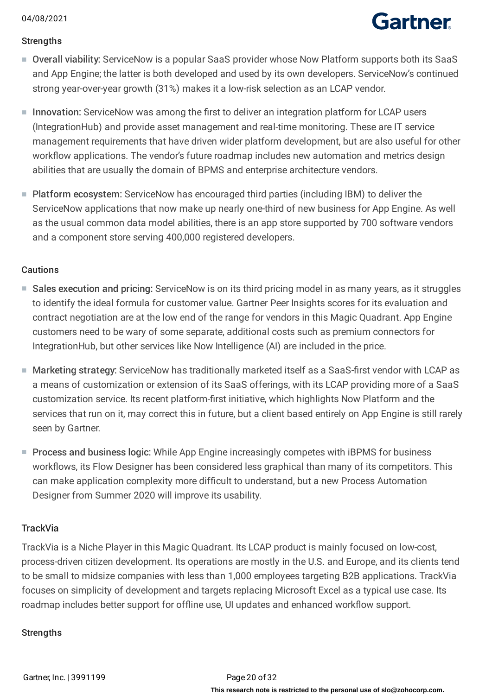# **Gartner**

## **Strengths**

- Overall viability: ServiceNow is a popular SaaS provider whose Now Platform supports both its SaaS and App Engine; the latter is both developed and used by its own developers. ServiceNow's continued strong year-over-year growth (31%) makes it a low-risk selection as an LCAP vendor.
- Innovation: ServiceNow was among the first to deliver an integration platform for LCAP users (IntegrationHub) and provide asset management and real-time monitoring. These are IT service management requirements that have driven wider platform development, but are also useful for other workflow applications. The vendor's future roadmap includes new automation and metrics design abilities that are usually the domain of BPMS and enterprise architecture vendors.
- Platform ecosystem: ServiceNow has encouraged third parties (including IBM) to deliver the ServiceNow applications that now make up nearly one-third of new business for App Engine. As well as the usual common data model abilities, there is an app store supported by 700 software vendors and a component store serving 400,000 registered developers.

## **Cautions**

- Sales execution and pricing: ServiceNow is on its third pricing model in as many years, as it struggles to identify the ideal formula for customer value. Gartner Peer Insights scores for its evaluation and contract negotiation are at the low end of the range for vendors in this Magic Quadrant. App Engine customers need to be wary of some separate, additional costs such as premium connectors for IntegrationHub, but other services like Now Intelligence (AI) are included in the price.
- Marketing strategy: ServiceNow has traditionally marketed itself as a SaaS-first vendor with LCAP as a means of customization or extension of its SaaS offerings, with its LCAP providing more of a SaaS customization service. Its recent platform-first initiative, which highlights Now Platform and the services that run on it, may correct this in future, but a client based entirely on App Engine is still rarely seen by Gartner.
- Process and business logic: While App Engine increasingly competes with iBPMS for business workflows, its Flow Designer has been considered less graphical than many of its competitors. This can make application complexity more difficult to understand, but a new Process Automation Designer from Summer 2020 will improve its usability.

## **TrackVia**

TrackVia is a Niche Player in this Magic Quadrant. Its LCAP product is mainly focused on low-cost, process-driven citizen development. Its operations are mostly in the U.S. and Europe, and its clients tend to be small to midsize companies with less than 1,000 employees targeting B2B applications. TrackVia focuses on simplicity of development and targets replacing Microsoft Excel as a typical use case. Its roadmap includes better support for offline use, UI updates and enhanced workflow support.

## **Strengths**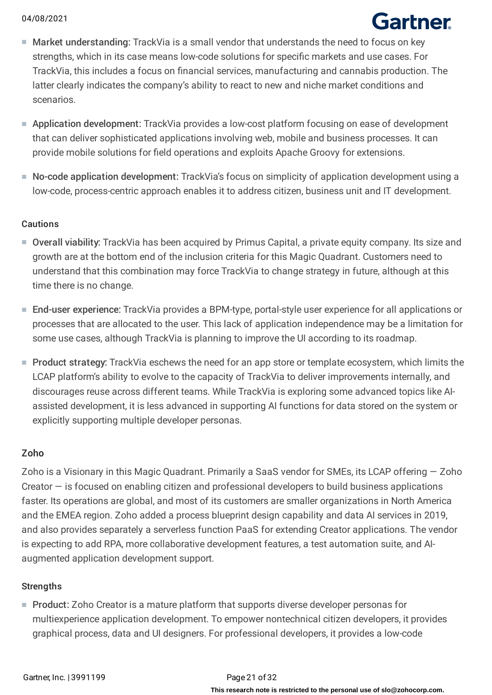# Gartner

- Market understanding: TrackVia is a small vendor that understands the need to focus on key strengths, which in its case means low-code solutions for specific markets and use cases. For TrackVia, this includes a focus on financial services, manufacturing and cannabis production. The latter clearly indicates the company's ability to react to new and niche market conditions and scenarios.
- Application development: TrackVia provides a low-cost platform focusing on ease of development that can deliver sophisticated applications involving web, mobile and business processes. It can provide mobile solutions for field operations and exploits Apache Groovy for extensions.
- No-code application development: TrackVia's focus on simplicity of application development using a low-code, process-centric approach enables it to address citizen, business unit and IT development.

## Cautions

- Overall viability: TrackVia has been acquired by Primus Capital, a private equity company. Its size and growth are at the bottom end of the inclusion criteria for this Magic Quadrant. Customers need to understand that this combination may force TrackVia to change strategy in future, although at this time there is no change.
- End-user experience: TrackVia provides a BPM-type, portal-style user experience for all applications or processes that are allocated to the user. This lack of application independence may be a limitation for some use cases, although TrackVia is planning to improve the UI according to its roadmap.
- Product strategy: TrackVia eschews the need for an app store or template ecosystem, which limits the LCAP platform's ability to evolve to the capacity of TrackVia to deliver improvements internally, and discourages reuse across different teams. While TrackVia is exploring some advanced topics like AIassisted development, it is less advanced in supporting AI functions for data stored on the system or explicitly supporting multiple developer personas.

## Zoho

Zoho is a Visionary in this Magic Quadrant. Primarily a SaaS vendor for SMEs, its LCAP offering — Zoho Creator — is focused on enabling citizen and professional developers to build business applications faster. Its operations are global, and most of its customers are smaller organizations in North America and the EMEA region. Zoho added a process blueprint design capability and data AI services in 2019, and also provides separately a serverless function PaaS for extending Creator applications. The vendor is expecting to add RPA, more collaborative development features, a test automation suite, and AIaugmented application development support.

## **Strengths**

■ Product: Zoho Creator is a mature platform that supports diverse developer personas for multiexperience application development. To empower nontechnical citizen developers, it provides graphical process, data and UI designers. For professional developers, it provides a low-code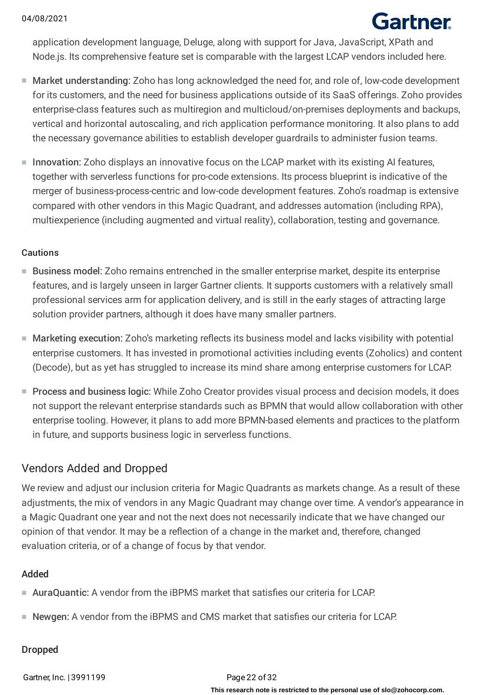# **Gartner**

application development language, Deluge, along with support for Java, JavaScript, XPath and Node.js. Its comprehensive feature set is comparable with the largest LCAP vendors included here.

- Market understanding: Zoho has long acknowledged the need for, and role of, low-code development for its customers, and the need for business applications outside of its SaaS offerings. Zoho provides enterprise-class features such as multiregion and multicloud/on-premises deployments and backups, vertical and horizontal autoscaling, and rich application performance monitoring. It also plans to add the necessary governance abilities to establish developer guardrails to administer fusion teams.
- Innovation: Zoho displays an innovative focus on the LCAP market with its existing AI features, together with serverless functions for pro-code extensions. Its process blueprint is indicative of the merger of business-process-centric and low-code development features. Zoho's roadmap is extensive compared with other vendors in this Magic Quadrant, and addresses automation (including RPA), multiexperience (including augmented and virtual reality), collaboration, testing and governance.

### Cautions

- Business model: Zoho remains entrenched in the smaller enterprise market, despite its enterprise features, and is largely unseen in larger Gartner clients. It supports customers with a relatively small professional services arm for application delivery, and is still in the early stages of attracting large solution provider partners, although it does have many smaller partners.
- Marketing execution: Zoho's marketing reflects its business model and lacks visibility with potential enterprise customers. It has invested in promotional activities including events (Zoholics) and content (Decode), but as yet has struggled to increase its mind share among enterprise customers for LCAP.
- Process and business logic: While Zoho Creator provides visual process and decision models, it does not support the relevant enterprise standards such as BPMN that would allow collaboration with other enterprise tooling. However, it plans to add more BPMN-based elements and practices to the platform in future, and supports business logic in serverless functions.

## Vendors Added and Dropped

We review and adjust our inclusion criteria for Magic Quadrants as markets change. As a result of these adjustments, the mix of vendors in any Magic Quadrant may change over time. A vendor's appearance in a Magic Quadrant one year and not the next does not necessarily indicate that we have changed our opinion of that vendor. It may be a reflection of a change in the market and, therefore, changed evaluation criteria, or of a change of focus by that vendor.

## Added

- AuraQuantic: A vendor from the iBPMS market that satisfies our criteria for LCAP.
- Newgen: A vendor from the iBPMS and CMS market that satisfies our criteria for LCAP.

### Dropped

Gartner, Inc. 13991199 Page 22 of 32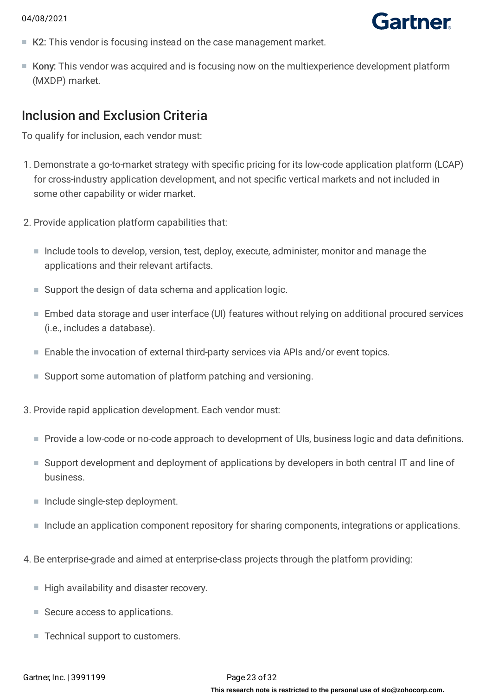- Gartner
- K2: This vendor is focusing instead on the case management market.
- Kony: This vendor was acquired and is focusing now on the multiexperience development platform (MXDP) market.

## Inclusion and Exclusion Criteria

To qualify for inclusion, each vendor must:

- 1. Demonstrate a go-to-market strategy with specific pricing for its low-code application platform (LCAP) for cross-industry application development, and not specific vertical markets and not included in some other capability or wider market.
- 2. Provide application platform capabilities that:
	- Include tools to develop, version, test, deploy, execute, administer, monitor and manage the applications and their relevant artifacts.
	- Support the design of data schema and application logic.
	- Embed data storage and user interface (UI) features without relying on additional procured services (i.e., includes a database).
	- Enable the invocation of external third-party services via APIs and/or event topics.
	- Support some automation of platform patching and versioning.
- 3. Provide rapid application development. Each vendor must:
	- Provide a low-code or no-code approach to development of UIs, business logic and data definitions.
	- Support development and deployment of applications by developers in both central IT and line of business.
	- Include single-step deployment.
	- Include an application component repository for sharing components, integrations or applications.
- 4. Be enterprise-grade and aimed at enterprise-class projects through the platform providing:
	- High availability and disaster recovery.
	- Secure access to applications.
	- Technical support to customers.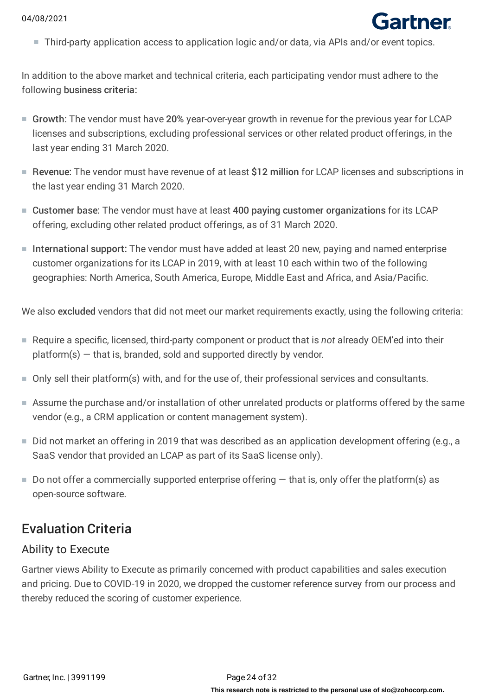■ Third-party application access to application logic and/or data, via APIs and/or event topics.

Gartner

In addition to the above market and technical criteria, each participating vendor must adhere to the following business criteria:

- Growth: The vendor must have 20% year-over-year growth in revenue for the previous year for LCAP licenses and subscriptions, excluding professional services or other related product offerings, in the last year ending 31 March 2020.
- Revenue: The vendor must have revenue of at least \$12 million for LCAP licenses and subscriptions in the last year ending 31 March 2020.
- Customer base: The vendor must have at least 400 paying customer organizations for its LCAP offering, excluding other related product offerings, as of 31 March 2020.
- International support: The vendor must have added at least 20 new, paying and named enterprise customer organizations for its LCAP in 2019, with at least 10 each within two of the following geographies: North America, South America, Europe, Middle East and Africa, and Asia/Pacific.

We also excluded vendors that did not meet our market requirements exactly, using the following criteria:

- Require a specific, licensed, third-party component or product that is *not* already OEM'ed into their  $platform(s)$  – that is, branded, sold and supported directly by vendor.
- Only sell their platform(s) with, and for the use of, their professional services and consultants.
- Assume the purchase and/or installation of other unrelated products or platforms offered by the same vendor (e.g., a CRM application or content management system).
- Did not market an offering in 2019 that was described as an application development offering (e.g., a SaaS vendor that provided an LCAP as part of its SaaS license only).
- $\blacksquare$  Do not offer a commercially supported enterprise offering  $-$  that is, only offer the platform(s) as open-source software.

## Evaluation Criteria

## Ability to Execute

Gartner views Ability to Execute as primarily concerned with product capabilities and sales execution and pricing. Due to COVID-19 in 2020, we dropped the customer reference survey from our process and thereby reduced the scoring of customer experience.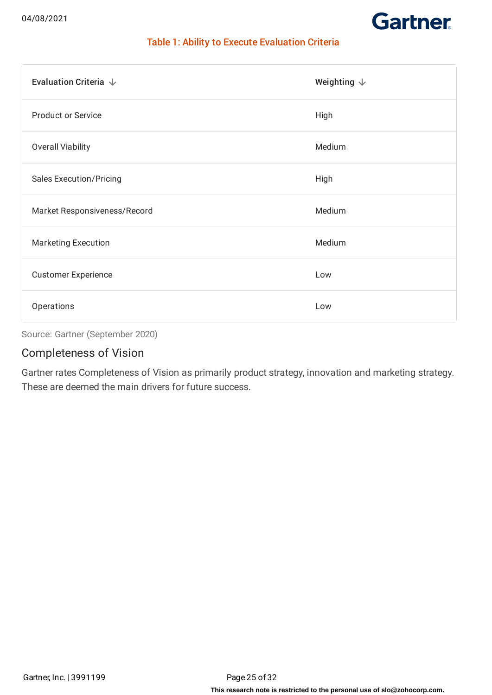

## Table 1: Ability to Execute Evaluation Criteria

| Evaluation Criteria $\downarrow$ | Weighting $\downarrow$ |
|----------------------------------|------------------------|
| <b>Product or Service</b>        | High                   |
| <b>Overall Viability</b>         | Medium                 |
| <b>Sales Execution/Pricing</b>   | High                   |
| Market Responsiveness/Record     | Medium                 |
| <b>Marketing Execution</b>       | Medium                 |
| <b>Customer Experience</b>       | Low                    |
| Operations                       | Low                    |

Source: Gartner (September 2020)

## Completeness of Vision

Gartner rates Completeness of Vision as primarily product strategy, innovation and marketing strategy. These are deemed the main drivers for future success.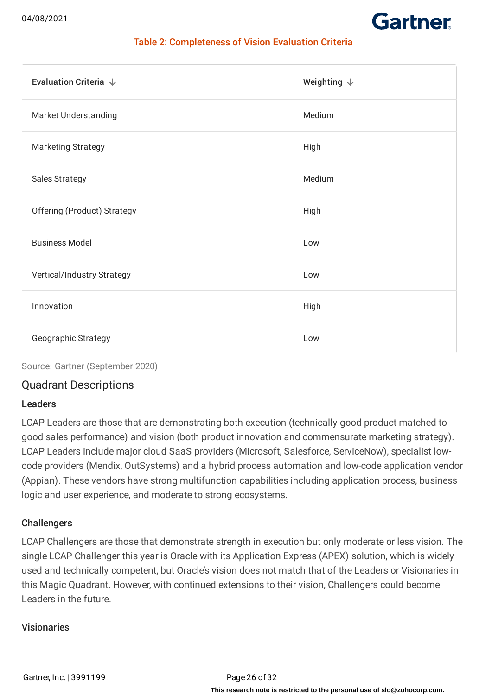

## Table 2: Completeness of Vision Evaluation Criteria

| Evaluation Criteria $\downarrow$ | Weighting $\downarrow$ |
|----------------------------------|------------------------|
| <b>Market Understanding</b>      | Medium                 |
| <b>Marketing Strategy</b>        | High                   |
| <b>Sales Strategy</b>            | Medium                 |
| Offering (Product) Strategy      | High                   |
| <b>Business Model</b>            | Low                    |
| Vertical/Industry Strategy       | Low                    |
| Innovation                       | High                   |
| <b>Geographic Strategy</b>       | Low                    |

Source: Gartner (September 2020)

## Quadrant Descriptions

### Leaders

LCAP Leaders are those that are demonstrating both execution (technically good product matched to good sales performance) and vision (both product innovation and commensurate marketing strategy). LCAP Leaders include major cloud SaaS providers (Microsoft, Salesforce, ServiceNow), specialist lowcode providers (Mendix, OutSystems) and a hybrid process automation and low-code application vendor (Appian). These vendors have strong multifunction capabilities including application process, business logic and user experience, and moderate to strong ecosystems.

### **Challengers**

LCAP Challengers are those that demonstrate strength in execution but only moderate or less vision. The single LCAP Challenger this year is Oracle with its Application Express (APEX) solution, which is widely used and technically competent, but Oracle's vision does not match that of the Leaders or Visionaries in this Magic Quadrant. However, with continued extensions to their vision, Challengers could become Leaders in the future.

## Visionaries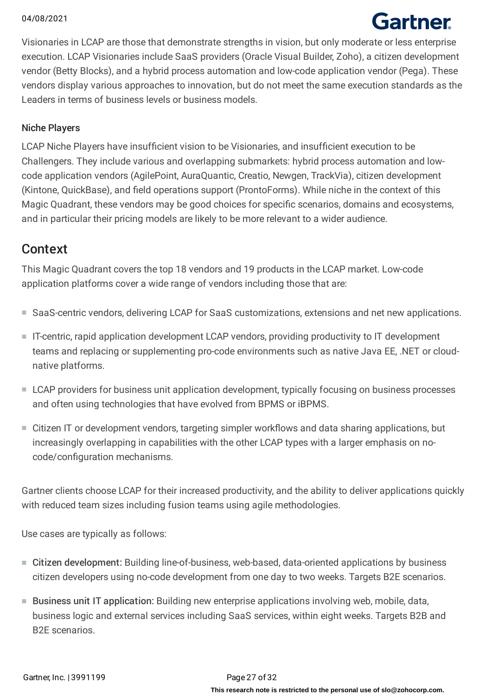# Gartner

Visionaries in LCAP are those that demonstrate strengths in vision, but only moderate or less enterprise execution. LCAP Visionaries include SaaS providers (Oracle Visual Builder, Zoho), a citizen development vendor (Betty Blocks), and a hybrid process automation and low-code application vendor (Pega). These vendors display various approaches to innovation, but do not meet the same execution standards as the Leaders in terms of business levels or business models.

## Niche Players

LCAP Niche Players have insufficient vision to be Visionaries, and insufficient execution to be Challengers. They include various and overlapping submarkets: hybrid process automation and lowcode application vendors (AgilePoint, AuraQuantic, Creatio, Newgen, TrackVia), citizen development (Kintone, QuickBase), and field operations support (ProntoForms). While niche in the context of this Magic Quadrant, these vendors may be good choices for specific scenarios, domains and ecosystems, and in particular their pricing models are likely to be more relevant to a wider audience.

## Context

This Magic Quadrant covers the top 18 vendors and 19 products in the LCAP market. Low-code application platforms cover a wide range of vendors including those that are:

- SaaS-centric vendors, delivering LCAP for SaaS customizations, extensions and net new applications.
- IT-centric, rapid application development LCAP vendors, providing productivity to IT development teams and replacing or supplementing pro-code environments such as native Java EE, .NET or cloudnative platforms.
- LCAP providers for business unit application development, typically focusing on business processes and often using technologies that have evolved from BPMS or iBPMS.
- Citizen IT or development vendors, targeting simpler workflows and data sharing applications, but increasingly overlapping in capabilities with the other LCAP types with a larger emphasis on nocode/configuration mechanisms.

Gartner clients choose LCAP for their increased productivity, and the ability to deliver applications quickly with reduced team sizes including fusion teams using agile methodologies.

Use cases are typically as follows:

- Citizen development: Building line-of-business, web-based, data-oriented applications by business citizen developers using no-code development from one day to two weeks. Targets B2E scenarios.
- Business unit IT application: Building new enterprise applications involving web, mobile, data, business logic and external services including SaaS services, within eight weeks. Targets B2B and B2E scenarios.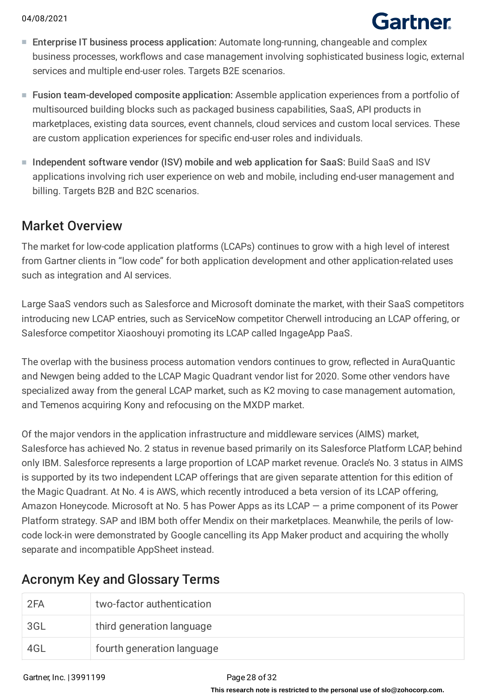# Gartner

- Enterprise IT business process application: Automate long-running, changeable and complex business processes, workflows and case management involving sophisticated business logic, external services and multiple end-user roles. Targets B2E scenarios.
- Fusion team-developed composite application: Assemble application experiences from a portfolio of multisourced building blocks such as packaged business capabilities, SaaS, API products in marketplaces, existing data sources, event channels, cloud services and custom local services. These are custom application experiences for specific end-user roles and individuals.
- Independent software vendor (ISV) mobile and web application for SaaS: Build SaaS and ISV applications involving rich user experience on web and mobile, including end-user management and billing. Targets B2B and B2C scenarios.

## Market Overview

The market for low-code application platforms (LCAPs) continues to grow with a high level of interest from Gartner clients in "low code" for both application development and other application-related uses such as integration and AI services.

Large SaaS vendors such as Salesforce and Microsoft dominate the market, with their SaaS competitors introducing new LCAP entries, such as ServiceNow competitor Cherwell introducing an LCAP offering, or Salesforce competitor Xiaoshouyi promoting its LCAP called IngageApp PaaS.

The overlap with the business process automation vendors continues to grow, reflected in AuraQuantic and Newgen being added to the LCAP Magic Quadrant vendor list for 2020. Some other vendors have specialized away from the general LCAP market, such as K2 moving to case management automation, and Temenos acquiring Kony and refocusing on the MXDP market.

Of the major vendors in the application infrastructure and middleware services (AIMS) market, Salesforce has achieved No. 2 status in revenue based primarily on its Salesforce Platform LCAP, behind only IBM. Salesforce represents a large proportion of LCAP market revenue. Oracle's No. 3 status in AIMS is supported by its two independent LCAP offerings that are given separate attention for this edition of the Magic Quadrant. At No. 4 is AWS, which recently introduced a beta version of its LCAP offering, Amazon Honeycode. Microsoft at No. 5 has Power Apps as its LCAP — a prime component of its Power Platform strategy. SAP and IBM both offer Mendix on their marketplaces. Meanwhile, the perils of lowcode lock-in were demonstrated by Google cancelling its App Maker product and acquiring the wholly separate and incompatible AppSheet instead.

## Acronym Key and Glossary Terms

| 2FA | two-factor authentication  |
|-----|----------------------------|
| 3GL | third generation language  |
| 4GL | fourth generation language |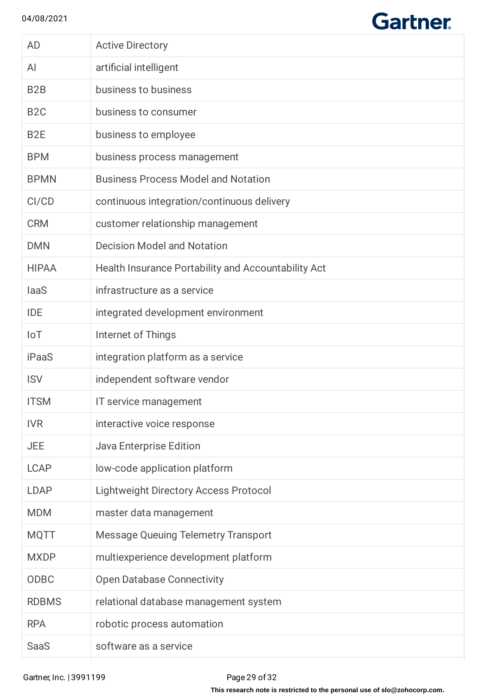$\begin{array}{c} \hline \end{array}$ 

# **Gartner**

| <b>AD</b>        | <b>Active Directory</b>                             |
|------------------|-----------------------------------------------------|
| AI               | artificial intelligent                              |
| B <sub>2</sub> B | business to business                                |
| B <sub>2</sub> C | business to consumer                                |
| B <sub>2</sub> E | business to employee                                |
| <b>BPM</b>       | business process management                         |
| <b>BPMN</b>      | <b>Business Process Model and Notation</b>          |
| CI/CD            | continuous integration/continuous delivery          |
| <b>CRM</b>       | customer relationship management                    |
| <b>DMN</b>       | <b>Decision Model and Notation</b>                  |
| <b>HIPAA</b>     | Health Insurance Portability and Accountability Act |
| laaS             | infrastructure as a service                         |
| <b>IDE</b>       | integrated development environment                  |
| $I \circ T$      | Internet of Things                                  |
| <b>iPaaS</b>     | integration platform as a service                   |
| <b>ISV</b>       | independent software vendor                         |
| <b>ITSM</b>      | IT service management                               |
| <b>IVR</b>       | interactive voice response                          |
| <b>JEE</b>       | Java Enterprise Edition                             |
| <b>LCAP</b>      | low-code application platform                       |
| <b>LDAP</b>      | <b>Lightweight Directory Access Protocol</b>        |
| <b>MDM</b>       | master data management                              |
| <b>MQTT</b>      | <b>Message Queuing Telemetry Transport</b>          |
| <b>MXDP</b>      | multiexperience development platform                |
| ODBC             | <b>Open Database Connectivity</b>                   |
| <b>RDBMS</b>     | relational database management system               |
| <b>RPA</b>       | robotic process automation                          |
| <b>SaaS</b>      | software as a service                               |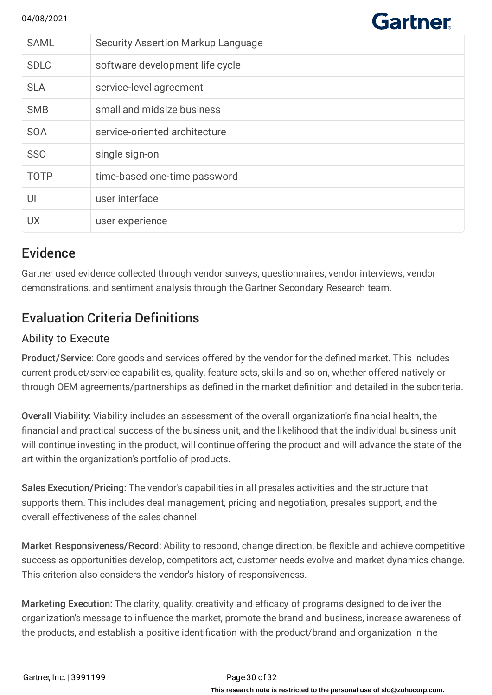| <b>SAML</b> | <b>Security Assertion Markup Language</b> |
|-------------|-------------------------------------------|
| <b>SDLC</b> | software development life cycle           |
| <b>SLA</b>  | service-level agreement                   |
| <b>SMB</b>  | small and midsize business                |
| <b>SOA</b>  | service-oriented architecture             |
| <b>SSO</b>  | single sign-on                            |
| <b>TOTP</b> | time-based one-time password              |
| UI          | user interface                            |
| <b>UX</b>   | user experience                           |

**Gartner** 

## **Evidence**

Gartner used evidence collected through vendor surveys, questionnaires, vendor interviews, vendor demonstrations, and sentiment analysis through the Gartner Secondary Research team.

## Evaluation Criteria Definitions

## Ability to Execute

Product/Service: Core goods and services offered by the vendor for the defined market. This includes current product/service capabilities, quality, feature sets, skills and so on, whether offered natively or through OEM agreements/partnerships as defined in the market definition and detailed in the subcriteria.

Overall Viability: Viability includes an assessment of the overall organization's financial health, the financial and practical success of the business unit, and the likelihood that the individual business unit will continue investing in the product, will continue offering the product and will advance the state of the art within the organization's portfolio of products.

Sales Execution/Pricing: The vendor's capabilities in all presales activities and the structure that supports them. This includes deal management, pricing and negotiation, presales support, and the overall effectiveness of the sales channel.

Market Responsiveness/Record: Ability to respond, change direction, be flexible and achieve competitive success as opportunities develop, competitors act, customer needs evolve and market dynamics change. This criterion also considers the vendor's history of responsiveness.

Marketing Execution: The clarity, quality, creativity and efficacy of programs designed to deliver the organization's message to influence the market, promote the brand and business, increase awareness of the products, and establish a positive identification with the product/brand and organization in the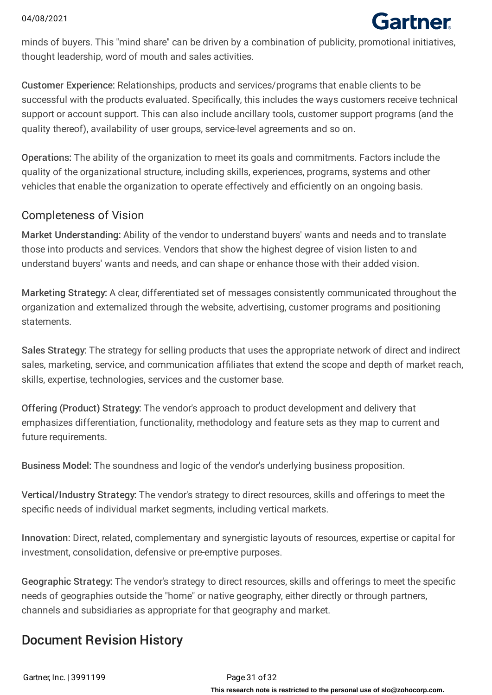# Gartner

minds of buyers. This "mind share" can be driven by a combination of publicity, promotional initiatives, thought leadership, word of mouth and sales activities.

Customer Experience: Relationships, products and services/programs that enable clients to be successful with the products evaluated. Specifically, this includes the ways customers receive technical support or account support. This can also include ancillary tools, customer support programs (and the quality thereof), availability of user groups, service-level agreements and so on.

Operations: The ability of the organization to meet its goals and commitments. Factors include the quality of the organizational structure, including skills, experiences, programs, systems and other vehicles that enable the organization to operate effectively and efficiently on an ongoing basis.

## Completeness of Vision

Market Understanding: Ability of the vendor to understand buyers' wants and needs and to translate those into products and services. Vendors that show the highest degree of vision listen to and understand buyers' wants and needs, and can shape or enhance those with their added vision.

Marketing Strategy: A clear, differentiated set of messages consistently communicated throughout the organization and externalized through the website, advertising, customer programs and positioning statements.

Sales Strategy: The strategy for selling products that uses the appropriate network of direct and indirect sales, marketing, service, and communication affiliates that extend the scope and depth of market reach, skills, expertise, technologies, services and the customer base.

Offering (Product) Strategy: The vendor's approach to product development and delivery that emphasizes differentiation, functionality, methodology and feature sets as they map to current and future requirements.

Business Model: The soundness and logic of the vendor's underlying business proposition.

Vertical/Industry Strategy: The vendor's strategy to direct resources, skills and offerings to meet the specific needs of individual market segments, including vertical markets.

Innovation: Direct, related, complementary and synergistic layouts of resources, expertise or capital for investment, consolidation, defensive or pre-emptive purposes.

Geographic Strategy: The vendor's strategy to direct resources, skills and offerings to meet the specific needs of geographies outside the "home" or native geography, either directly or through partners, channels and subsidiaries as appropriate for that geography and market.

## Document Revision History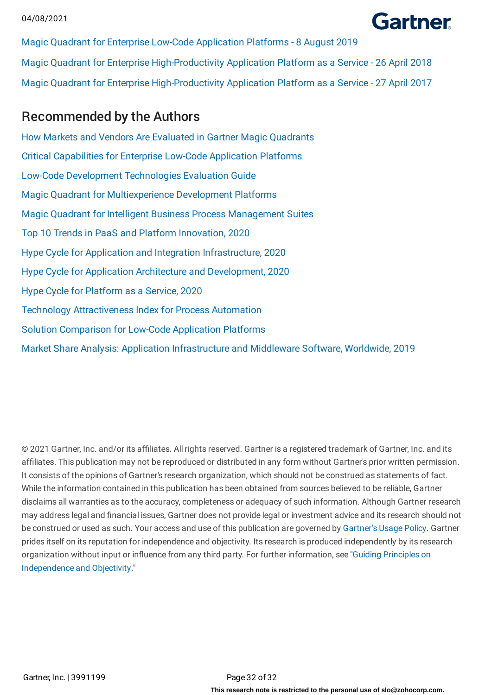## **Gartner**

Magic Quadrant for Enterprise Low-Code Application Platforms - 8 August 2019 Magic Quadrant for Enterprise High-Productivity Application Platform as a Service - 26 April 2018 Magic Quadrant for Enterprise High-Productivity Application Platform as a Service - 27 April 2017

## Recommended by the Authors

How Markets and Vendors Are Evaluated in Gartner Magic [Quadrants](https://www.gartner.com/document/3956304?ref=authbottomrec&refval=) Critical [Capabilities](https://www.gartner.com/document/3991223?ref=authbottomrec&refval=) for Enterprise Low-Code Application Platforms Low-Code Development [Technologies](https://www.gartner.com/document/3902331?ref=authbottomrec&refval=) Evaluation Guide Magic Quadrant for [Multiexperience](https://www.gartner.com/document/3987201?ref=authbottomrec&refval=) Development Platforms Magic Quadrant for Intelligent Business Process [Management](https://www.gartner.com/document/3899484?ref=authbottomrec&refval=) Suites Top 10 Trends in PaaS and Platform [Innovation,](https://www.gartner.com/document/3981665?ref=authbottomrec&refval=) 2020 Hype Cycle for Application and Integration [Infrastructure,](https://www.gartner.com/document/3988227?ref=authbottomrec&refval=) 2020 Hype Cycle for Application Architecture and [Development,](https://www.gartner.com/document/3988288?ref=authbottomrec&refval=) 2020 Hype Cycle for [Platform](https://www.gartner.com/document/3989064?ref=authbottomrec&refval=) as a Service, 2020 Technology [Attractiveness](https://www.gartner.com/document/3989594?ref=authbottomrec&refval=) Index for Process Automation Solution [Comparison](https://www.gartner.com/document/3987426?ref=authbottomrec&refval=) for Low-Code Application Platforms Market Share Analysis: Application [Infrastructure](https://www.gartner.com/document/3986037?ref=authbottomrec&refval=) and Middleware Software, Worldwide, 2019

© 2021 Gartner, Inc. and/or its affiliates. All rights reserved. Gartner is a registered trademark of Gartner, Inc. and its affiliates. This publication may not be reproduced or distributed in any form without Gartner's prior written permission. It consists of the opinions of Gartner's research organization, which should not be construed as statements of fact. While the information contained in this publication has been obtained from sources believed to be reliable, Gartner disclaims all warranties as to the accuracy, completeness or adequacy of such information. Although Gartner research may address legal and financial issues, Gartner does not provide legal or investment advice and its research should not be construed or used as such. Your access and use of this publication are governed by [Gartner's](https://www.gartner.com/technology/about/policies/usage_policy.jsp) Usage Policy. Gartner prides itself on its reputation for independence and objectivity. Its research is produced independently by its research organization without input or influence from any third party. For further information, see "Guiding Principles on [Independence](https://www.gartner.com/technology/about/ombudsman/omb_guide2.jsp) and Objectivity."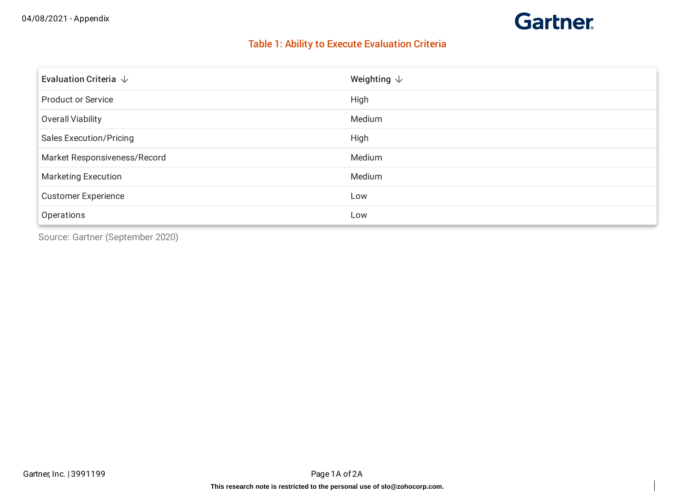## **Gartner**

## Table 1: Ability to Execute Evaluation Criteria

| Evaluation Criteria $\downarrow$ | Weighting $\downarrow$ |
|----------------------------------|------------------------|
| <b>Product or Service</b>        | High                   |
| <b>Overall Viability</b>         | Medium                 |
| <b>Sales Execution/Pricing</b>   | High                   |
| Market Responsiveness/Record     | Medium                 |
| <b>Marketing Execution</b>       | Medium                 |
| <b>Customer Experience</b>       | Low                    |
| Operations                       | Low                    |

Source: Gartner (September 2020)